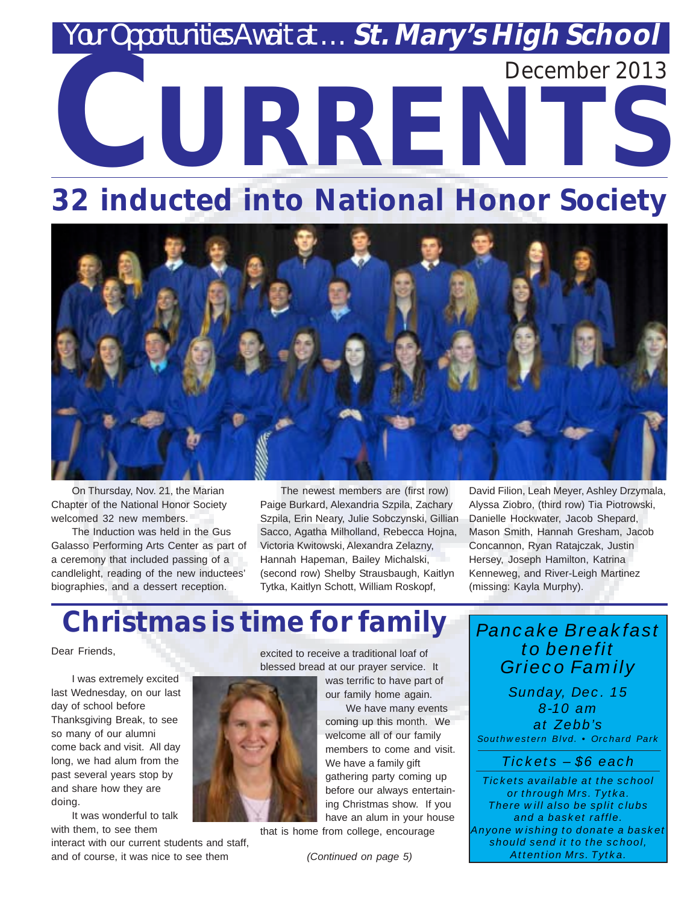# *Yar Opportunities Await at ... St. Mary's High School* **CURRENTS** December 2013

# **32 inducted into National Honor Society**



On Thursday, Nov. 21, the Marian Chapter of the National Honor Society welcomed 32 new members.

The Induction was held in the Gus Galasso Performing Arts Center as part of a ceremony that included passing of a candlelight, reading of the new inductees' biographies, and a dessert reception.

The newest members are (first row) Paige Burkard, Alexandria Szpila, Zachary Szpila, Erin Neary, Julie Sobczynski, Gillian Sacco, Agatha Milholland, Rebecca Hojna, Victoria Kwitowski, Alexandra Zelazny, Hannah Hapeman, Bailey Michalski, (second row) Shelby Strausbaugh, Kaitlyn Tytka, Kaitlyn Schott, William Roskopf,

David Filion, Leah Meyer, Ashley Drzymala, Alyssa Ziobro, (third row) Tia Piotrowski, Danielle Hockwater, Jacob Shepard, Mason Smith, Hannah Gresham, Jacob Concannon, Ryan Ratajczak, Justin Hersey, Joseph Hamilton, Katrina Kenneweg, and River-Leigh Martinez (missing: Kayla Murphy).

# **Christmas is time for family**

Dear Friends,

I was extremely excited last Wednesday, on our last day of school before Thanksgiving Break, to see so many of our alumni come back and visit. All day long, we had alum from the past several years stop by and share how they are doing.

It was wonderful to talk with them, to see them

interact with our current students and staff, and of course, it was nice to see them

excited to receive a traditional loaf of blessed bread at our prayer service. It

was terrific to have part of our family home again.

We have many events coming up this month. We welcome all of our family members to come and visit. We have a family gift gathering party coming up before our always entertaining Christmas show. If you have an alum in your house

that is home from college, encourage

*(Continued on page 5)*

*Pancake Breakfast to benefit Grieco Family*

*Sunday, Dec. 15 8-10 am at Zebb's Southwestern Blvd. • Orchard Park*

*Tickets – \$6 each*

*Tickets available at the school or through Mrs. Tytka. There will also be split clubs and a basket raffle. Anyone wishing to donate a basket should send it to the school, Attention Mrs. Tytka.*

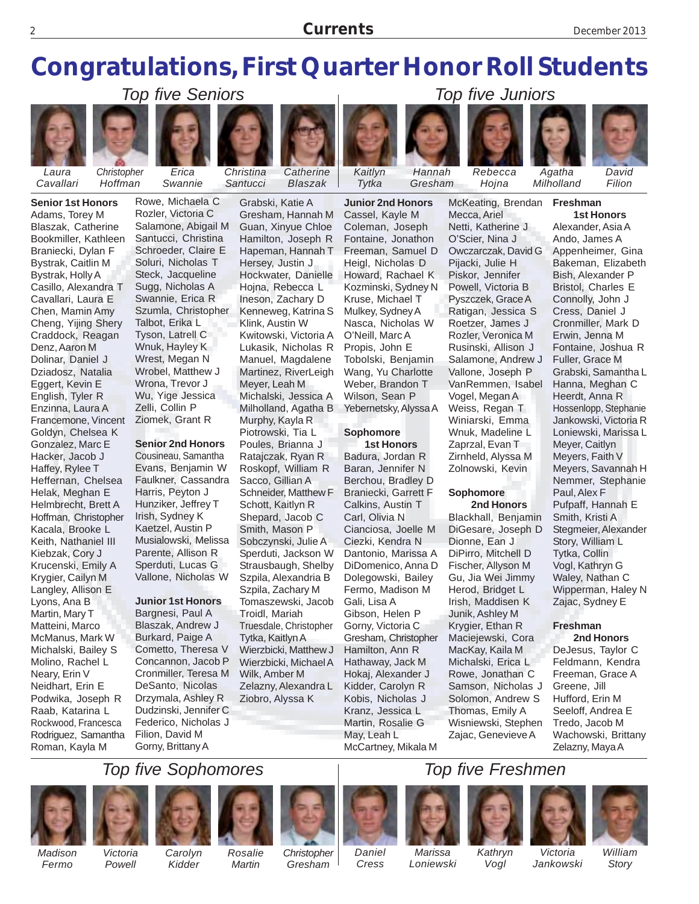## **Congratulations, First Quarter Honor Roll Students**



*Laura Cavallari*

**Senior 1st Honors** Adams, Torey M Blaszak, Catherine Bookmiller, Kathleen Braniecki, Dylan F Bystrak, Caitlin M Bystrak, Holly A Casillo, Alexandra T Cavallari, Laura E Chen, Mamin Amy Cheng, Yijing Shery Craddock, Reagan Denz, Aaron M Dolinar, Daniel J Dziadosz, Natalia Eggert, Kevin E English, Tyler R Enzinna, Laura A Francemone, Vincent Goldyn, Chelsea K Gonzalez, Marc E Hacker, Jacob J Haffey, Rylee T Heffernan, Chelsea Helak, Meghan E Helmbrecht, Brett A Hoffman, Christopher Kacala, Brooke L Keith, Nathaniel III Kiebzak, Cory J Krucenski, Emily A Krygier, Cailyn M Langley, Allison E Lyons, Ana B Martin, Mary T Matteini, Marco McManus, Mark W Michalski, Bailey S Molino, Rachel L Neary, Erin V Neidhart, Erin E Podwika, Joseph R Raab, Katarina L Rockwood, Francesca Rodriguez, Samantha Roman, Kayla M



*Christopher Hoffman*

*Swannie*



Rowe, Michaela C Rozler, Victoria C Salamone, Abigail M Santucci, Christina Schroeder, Claire E Soluri, Nicholas T Steck, Jacqueline Sugg, Nicholas A Swannie, Erica R Szumla, Christopher Talbot, Erika L Tyson, Latrell C Wnuk, Hayley K Wrest, Megan N Wrobel, Matthew J Wrona, Trevor J

**Senior 2nd Honors**

Wu, Yige Jessica Zelli, Collin P Ziomek, Grant R

Cousineau, Samantha Evans, Benjamin W Faulkner, Cassandra Harris, Peyton J Hunziker, Jeffrey T Irish, Sydney K Kaetzel, Austin P Musialowski, Melissa Parente, Allison R Sperduti, Lucas G Vallone, Nicholas W

#### **Junior 1st Honors**

Bargnesi, Paul A Blaszak, Andrew J Burkard, Paige A Cometto, Theresa V Concannon, Jacob P Cronmiller, Teresa M DeSanto, Nicolas Drzymala, Ashley R Dudzinski, Jennifer C Federico, Nicholas J Filion, David M Gorny, Brittany A



*Blaszak*

Grabski, Katie A Gresham, Hannah M Guan, Xinyue Chloe Hamilton, Joseph R Hapeman, Hannah T Hersey, Justin J Hockwater, Danielle Hojna, Rebecca L Ineson, Zachary D Kenneweg, Katrina S Klink, Austin W Kwitowski, Victoria A Lukasik, Nicholas R Manuel, Magdalene Martinez, RiverLeigh Meyer, Leah M Michalski, Jessica A Milholland, Agatha B Murphy, Kayla R Piotrowski, Tia L Poules, Brianna J Ratajczak, Ryan R Roskopf, William R Sacco, Gillian A Schneider, Matthew F Schott, Kaitlyn R Shepard, Jacob C Smith, Mason P Sobczynski, Julie A Sperduti, Jackson W Strausbaugh, Shelby Szpila, Alexandria B Szpila, Zachary M Tomaszewski, Jacob Troidl, Mariah **Junior 2nd Honors** Cassel, Kayle M Coleman, Joseph Fontaine, Jonathon Freeman, Samuel D Heigl, Nicholas D Howard, Rachael K Kozminski, Sydney N Kruse, Michael T Mulkey, Sydney A Nasca, Nicholas W O'Neill, Marc A Propis, John E Tobolski, Benjamin Wang, Yu Charlotte Weber, Brandon T Wilson, Sean P Yebernetsky, Alyssa A **Sophomore** Badura, Jordan R Baran, Jennifer N Berchou, Bradley D Braniecki, Garrett F Calkins, Austin T Carl, Olivia N Cianciosa, Joelle M Ciezki, Kendra N Dantonio, Marissa A DiDomenico, Anna D Dolegowski, Bailey Fermo, Madison M Gali, Lisa A Gibson, Helen P



*Hannah Gresham*

**1st Honors**

Gorny, Victoria C Gresham, Christopher Hamilton, Ann R Hathaway, Jack M Hokaj, Alexander J Kidder, Carolyn R Kobis, Nicholas J Kranz, Jessica L Martin, Rosalie G May, Leah L McCartney, Mikala M

*Rebecca Hojna*

McKeating, Brendan

Mecca, Ariel Netti, Katherine J O'Scier, Nina J

Pijacki, Julie H Piskor, Jennifer

Vogel, Megan A Weiss, Regan T

Zaprzal, Evan T

**Sophomore**

Dionne, Ean J

Gu, Jia Wei Jimmy Herod, Bridget L Irish, Maddisen K Junik, Ashley M Krygier, Ethan R Maciejewski, Cora MacKay, Kaila M Michalski, Erica L Rowe, Jonathan C Samson, Nicholas J Solomon, Andrew S Thomas, Emily A Wisniewski, Stephen Zajac, Genevieve A

 **2nd Honors**



*Agatha Milholland*

**Freshman**

*David Filion*

Owczarczak, David G Powell, Victoria B Pyszczek, Grace A Ratigan, Jessica S Roetzer, James J Rozler, Veronica M Rusinski, Allison J Salamone, Andrew J Vallone, Joseph P VanRemmen, Isabel Winiarski, Emma Wnuk, Madeline L Zirnheld, Alyssa M Zolnowski, Kevin Blackhall, Benjamin DiGesare, Joseph D DiPirro, Mitchell D Fischer, Allyson M **1st Honors** Alexander, Asia A Ando, James A Appenheimer, Gina Bakeman, Elizabeth Bish, Alexander P Bristol, Charles E Connolly, John J Cress, Daniel J Cronmiller, Mark D Erwin, Jenna M Fontaine, Joshua R Fuller, Grace M Grabski, Samantha L Hanna, Meghan C Heerdt, Anna R Hossenlopp, Stephanie Jankowski, Victoria R Loniewski, Marissa L Meyer, Caitlyn Meyers, Faith V Meyers, Savannah H Nemmer, Stephanie Paul, Alex F Pufpaff, Hannah E Smith, Kristi A Stegmeier, Alexander Story, William L Tytka, Collin

#### Vogl, Kathryn G Waley, Nathan C Wipperman, Haley N Zajac, Sydney E

#### **Freshman**

**2nd Honors** DeJesus, Taylor C Feldmann, Kendra Freeman, Grace A Greene, Jill Hufford, Erin M Seeloff, Andrea E Tredo, Jacob M Wachowski, Brittany Zelazny, Maya A

#### *Top five Sophomores Top five Freshmen*



*Fermo*



*Victoria Powell*

*Carolyn Kidder*

*Rosalie Martin Christopher Gresham*

Truesdale, Christopher Tytka, Kaitlyn A Wierzbicki, Matthew J Wierzbicki, Michael A Wilk, Amber M Zelazny, Alexandra L Ziobro, Alyssa K

*Daniel*

*Cress*



*Loniewski*



*Vogl*





*Victoria Jankowski*

*William Story*

*Top five Seniors Top five Juniors*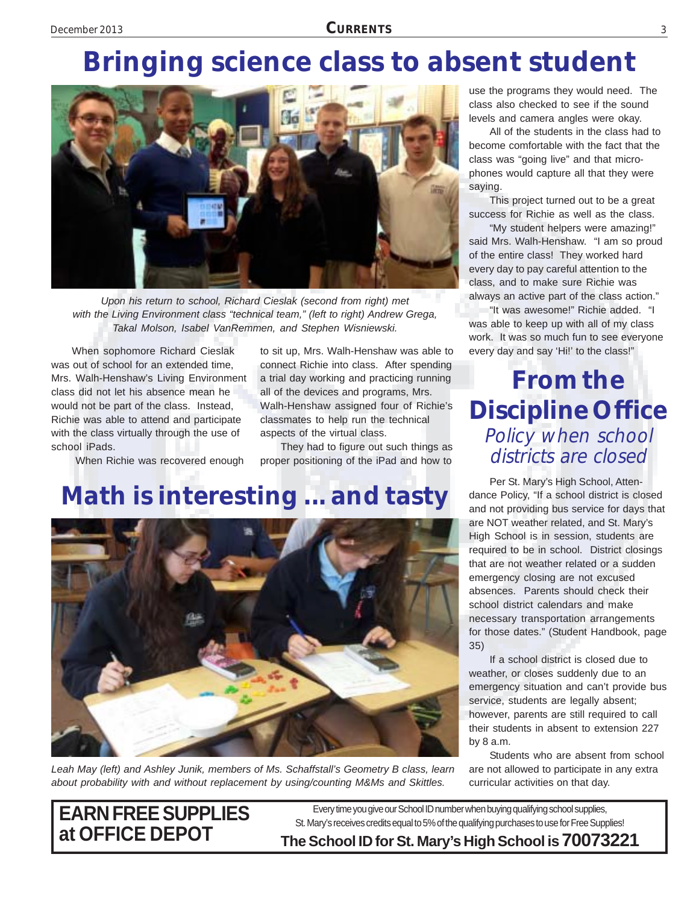# **Bringing science class to absent student**



*Upon his return to school, Richard Cieslak (second from right) met with the Living Environment class "technical team," (left to right) Andrew Grega, Takal Molson, Isabel VanRemmen, and Stephen Wisniewski.*

When sophomore Richard Cieslak was out of school for an extended time, Mrs. Walh-Henshaw's Living Environment class did not let his absence mean he would not be part of the class. Instead, Richie was able to attend and participate with the class virtually through the use of school iPads.

When Richie was recovered enough

to sit up, Mrs. Walh-Henshaw was able to connect Richie into class. After spending a trial day working and practicing running all of the devices and programs, Mrs. Walh-Henshaw assigned four of Richie's classmates to help run the technical aspects of the virtual class.

They had to figure out such things as proper positioning of the iPad and how to

## **Math is interesting ... and tasty**



*Leah May (left) and Ashley Junik, members of Ms. Schaffstall's Geometry B class, learn about probability with and without replacement by using/counting M&Ms and Skittles.*

use the programs they would need. The class also checked to see if the sound levels and camera angles were okay.

All of the students in the class had to become comfortable with the fact that the class was "going live" and that microphones would capture all that they were saying.

This project turned out to be a great success for Richie as well as the class.

"My student helpers were amazing!" said Mrs. Walh-Henshaw. "I am so proud of the entire class! They worked hard every day to pay careful attention to the class, and to make sure Richie was always an active part of the class action."

"It was awesome!" Richie added. "I was able to keep up with all of my class work. It was so much fun to see everyone every day and say 'Hi!' to the class!"

#### **From the Discipline Office** Policy when school districts are closed

Per St. Mary's High School, Attendance Policy, "If a school district is closed and not providing bus service for days that are NOT weather related, and St. Mary's High School is in session, students are required to be in school. District closings that are not weather related or a sudden emergency closing are not excused absences. Parents should check their school district calendars and make necessary transportation arrangements for those dates." (Student Handbook, page 35)

If a school district is closed due to weather, or closes suddenly due to an emergency situation and can't provide bus service, students are legally absent; however, parents are still required to call their students in absent to extension 227 by 8 a.m.

Students who are absent from school are not allowed to participate in any extra curricular activities on that day.

# **EARN FREE SUPPLIES**

**at OFFICE DEPOT The School ID for St. Mary's High School is 70073221** Every time you give our School ID number when buying qualifying school supplies, St. Mary's receives credits equal to 5% of the qualifying purchases to use for Free Supplies!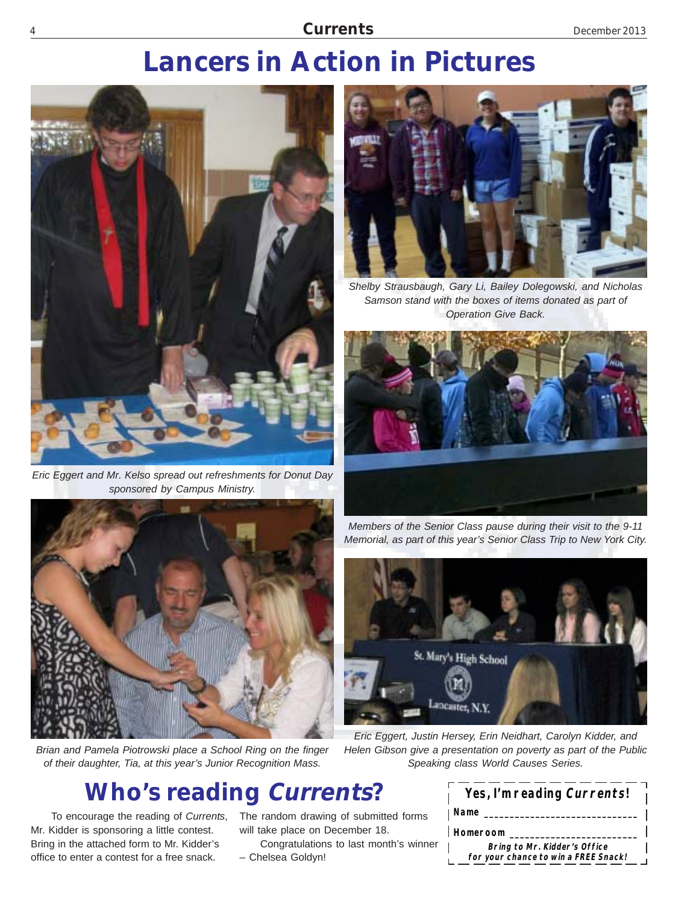#### 4 **Currents** December 2013

# **Lancers in Action in Pictures**



*Eric Eggert and Mr. Kelso spread out refreshments for Donut Day sponsored by Campus Ministry.*



*Shelby Strausbaugh, Gary Li, Bailey Dolegowski, and Nicholas Samson stand with the boxes of items donated as part of Operation Give Back.*





*Brian and Pamela Piotrowski place a School Ring on the finger of their daughter, Tia, at this year's Junior Recognition Mass.*

## **Who's reading Currents?**

To encourage the reading of *Currents*, Mr. Kidder is sponsoring a little contest. Bring in the attached form to Mr. Kidder's office to enter a contest for a free snack.

The random drawing of submitted forms will take place on December 18.

Congratulations to last month's winner – Chelsea Goldyn!





*Eric Eggert, Justin Hersey, Erin Neidhart, Carolyn Kidder, and Helen Gibson give a presentation on poverty as part of the Public Speaking class World Causes Series.*

| Yes, I'm reading Currents!                                           |  |
|----------------------------------------------------------------------|--|
| Name                                                                 |  |
| Homeroom                                                             |  |
| Bring to Mr. Kidder's Office<br>for your chance to win a FREE Snack! |  |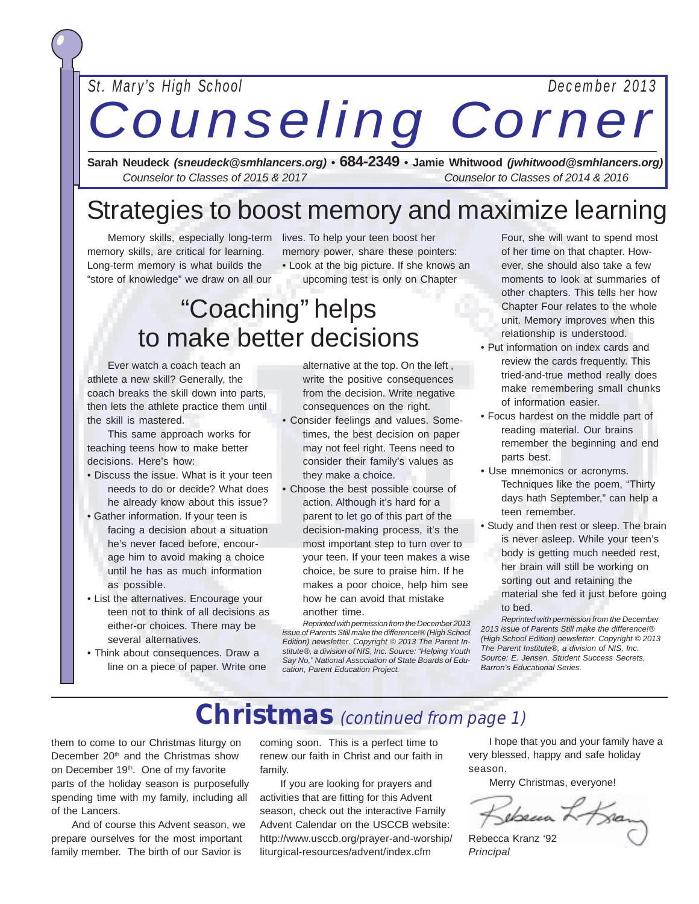#### *St. Mary's High School December 2013*

# *Counseling Corner*

December 2013 **CURRENTS** <sup>5</sup>

**Sarah Neudeck** *(sneudeck@smhlancers.org) •* **684-2349 • Jamie Whitwood** *(jwhitwood@smhlancers.org) Counselor to Classes of 2015 & 2017 Counselor to Classes of 2014 & 2016*

#### Strategies to boost memory and maximize learning

Memory skills, especially long-term lives. To help your teen boost her memory skills, are critical for learning. Long-term memory is what builds the "store of knowledge" we draw on all our

memory power, share these pointers: • Look at the big picture. If she knows an

upcoming test is only on Chapter

# "Coaching" helps to make better decisions

Ever watch a coach teach an athlete a new skill? Generally, the coach breaks the skill down into parts, then lets the athlete practice them until the skill is mastered.

This same approach works for teaching teens how to make better decisions. Here's how:

- Discuss the issue. What is it your teen needs to do or decide? What does he already know about this issue?
- Gather information. If your teen is facing a decision about a situation he's never faced before, encourage him to avoid making a choice until he has as much information as possible.
- List the alternatives. Encourage your teen not to think of all decisions as either-or choices. There may be several alternatives.
- Think about consequences. Draw a line on a piece of paper. Write one

alternative at the top. On the left , write the positive consequences from the decision. Write negative consequences on the right.

- Consider feelings and values. Sometimes, the best decision on paper may not feel right. Teens need to consider their family's values as they make a choice.
- Choose the best possible course of action. Although it's hard for a parent to let go of this part of the decision-making process, it's the most important step to turn over to your teen. If your teen makes a wise choice, be sure to praise him. If he makes a poor choice, help him see how he can avoid that mistake

#### another time.

*Reprinted with permission from the December 2013 issue of Parents Still make the difference!® (High School Edition) newsletter. Copyright © 2013 The Parent Institute®, a division of NIS, Inc. Source: "Helping Youth Say No," National Association of State Boards of Education, Parent Education Project.*

Four, she will want to spend most of her time on that chapter. However, she should also take a few moments to look at summaries of other chapters. This tells her how Chapter Four relates to the whole unit. Memory improves when this relationship is understood.

- Put information on index cards and review the cards frequently. This tried-and-true method really does make remembering small chunks of information easier.
- Focus hardest on the middle part of reading material. Our brains remember the beginning and end parts best.
- Use mnemonics or acronyms. Techniques like the poem, "Thirty days hath September," can help a teen remember.
- Study and then rest or sleep. The brain is never asleep. While your teen's
	- body is getting much needed rest, her brain will still be working on
	- sorting out and retaining the material she fed it just before going
	- to bed.

*Reprinted with permission from the December 2013 issue of Parents Still make the difference!® (High School Edition) newsletter. Copyright © 2013 The Parent Institute®, a division of NIS, Inc. Source: E. Jensen, Student Success Secrets, Barron's Educational Series.*

## **Christmas** (continued from page 1)

them to come to our Christmas liturgy on December 20<sup>th</sup> and the Christmas show on December 19<sup>th</sup>. One of my favorite parts of the holiday season is purposefully spending time with my family, including all of the Lancers.

And of course this Advent season, we prepare ourselves for the most important family member. The birth of our Savior is

coming soon. This is a perfect time to renew our faith in Christ and our faith in family.

If you are looking for prayers and activities that are fitting for this Advent season, check out the interactive Family Advent Calendar on the USCCB website: http://www.usccb.org/prayer-and-worship/ liturgical-resources/advent/index.cfm

I hope that you and your family have a very blessed, happy and safe holiday season.

Merry Christmas, everyone!

Kebeara Lo Kran

Rebecca Kranz '92 *Principal*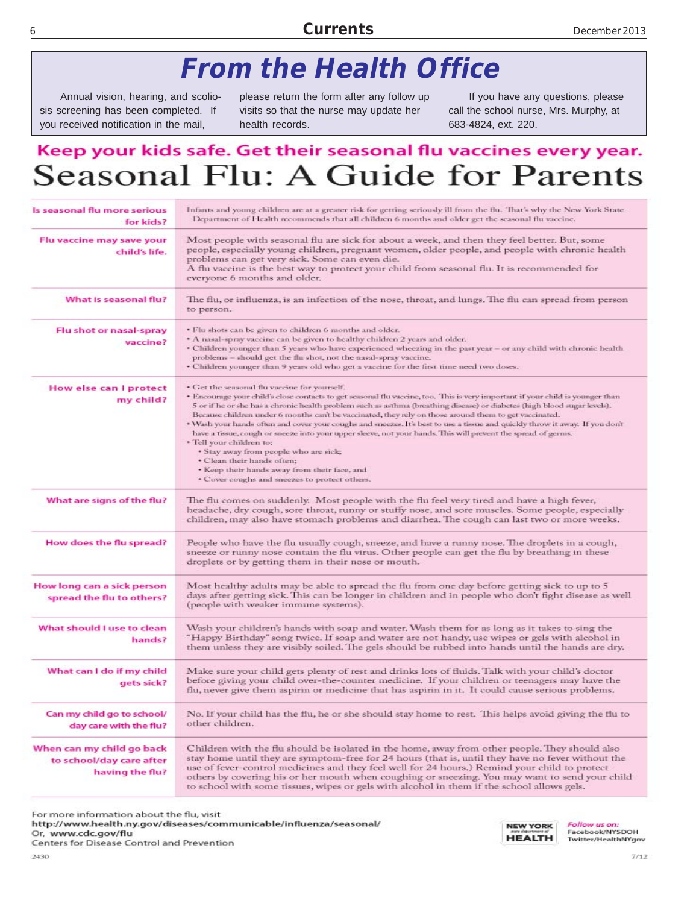#### <sup>6</sup> **Currents** December 2013

# **From the Health Office**

Annual vision, hearing, and scoliosis screening has been completed. If you received notification in the mail,

please return the form after any follow up visits so that the nurse may update her health records.

If you have any questions, please call the school nurse, Mrs. Murphy, at 683-4824, ext. 220.

#### Keep your kids safe. Get their seasonal flu vaccines every year. **Seasonal Flu: A Guide for Parents**

| Is seasonal flu more serious<br>for kids?                                | Infants and young children are at a greater risk for getting seriously ill from the flu. That's why the New York State<br>Department of Health recommends that all children 6 months and older get the seasonal flu vaccine.                                                                                                                                                                                                                                                                                                                                                                                                                                                                                                                                                                                                                                              |  |  |  |  |  |
|--------------------------------------------------------------------------|---------------------------------------------------------------------------------------------------------------------------------------------------------------------------------------------------------------------------------------------------------------------------------------------------------------------------------------------------------------------------------------------------------------------------------------------------------------------------------------------------------------------------------------------------------------------------------------------------------------------------------------------------------------------------------------------------------------------------------------------------------------------------------------------------------------------------------------------------------------------------|--|--|--|--|--|
| Flu vaccine may save your<br>child's life.                               | Most people with seasonal flu are sick for about a week, and then they feel better. But, some<br>people, especially young children, pregnant women, older people, and people with chronic health<br>problems can get very sick. Some can even die.<br>A flu vaccine is the best way to protect your child from seasonal flu. It is recommended for<br>everyone 6 months and older.                                                                                                                                                                                                                                                                                                                                                                                                                                                                                        |  |  |  |  |  |
| What is seasonal flu?                                                    | The flu, or influenza, is an infection of the nose, throat, and lungs. The flu can spread from person<br>to person.                                                                                                                                                                                                                                                                                                                                                                                                                                                                                                                                                                                                                                                                                                                                                       |  |  |  |  |  |
| Flu shot or nasal-spray<br>vaccine?                                      | · Flu shots can be given to children 6 months and older.<br>• A nasal-spray vaccine can be given to healthy children 2 years and older.<br>· Children younger than 5 years who have experienced wheezing in the past year - or any child with chronic health<br>problems - should get the flu shot, not the nasal-spray vaccine.<br>• Children younger than 9 years old who get a vaccine for the first time need two doses.                                                                                                                                                                                                                                                                                                                                                                                                                                              |  |  |  |  |  |
| How else can I protect<br>my child?                                      | • Get the seasonal flu vaccine for yourself.<br>* Encourage your child's close contacts to get seasonal flu vaccine, too. This is very important if your child is younger than<br>5 or if he or she has a chronic health problem such as asthma (breathing disease) or diabetes (high blood sugar levels).<br>Because children under 6 months can't be vaccinated, they rely on those around them to get vaccinated.<br>. Wash your hands often and cover your coughs and sneezes. It's best to use a tissue and quickly throw it away. If you don't<br>have a tissue, cough or sneeze into your upper sleeve, not your hands. This will prevent the spread of germs.<br>· Tell your children to:<br>· Stay away from people who are sick;<br>· Clean their hands often;<br>· Keep their hands away from their face, and<br>· Cover coughs and sneezes to protect others. |  |  |  |  |  |
| What are signs of the flu?                                               | The flu comes on suddenly. Most people with the flu feel very tired and have a high fever,<br>headache, dry cough, sore throat, runny or stuffy nose, and sore muscles. Some people, especially<br>children, may also have stomach problems and diarrhea. The cough can last two or more weeks.                                                                                                                                                                                                                                                                                                                                                                                                                                                                                                                                                                           |  |  |  |  |  |
| How does the flu spread?                                                 | People who have the flu usually cough, sneeze, and have a runny nose. The droplets in a cough,<br>sneeze or runny nose contain the flu virus. Other people can get the flu by breathing in these<br>droplets or by getting them in their nose or mouth.                                                                                                                                                                                                                                                                                                                                                                                                                                                                                                                                                                                                                   |  |  |  |  |  |
| How long can a sick person<br>spread the flu to others?                  | Most healthy adults may be able to spread the flu from one day before getting sick to up to 5<br>days after getting sick. This can be longer in children and in people who don't fight disease as well<br>(people with weaker immune systems).                                                                                                                                                                                                                                                                                                                                                                                                                                                                                                                                                                                                                            |  |  |  |  |  |
| What should I use to clean<br>hands?                                     | Wash your children's hands with soap and water. Wash them for as long as it takes to sing the<br>"Happy Birthday" song twice. If soap and water are not handy, use wipes or gels with alcohol in<br>them unless they are visibly soiled. The gels should be rubbed into hands until the hands are dry.                                                                                                                                                                                                                                                                                                                                                                                                                                                                                                                                                                    |  |  |  |  |  |
| What can I do if my child<br>gets sick?                                  | Make sure your child gets plenty of rest and drinks lots of fluids. Talk with your child's doctor<br>before giving your child over-the-counter medicine. If your children or teenagers may have the<br>flu, never give them aspirin or medicine that has aspirin in it. It could cause serious problems.                                                                                                                                                                                                                                                                                                                                                                                                                                                                                                                                                                  |  |  |  |  |  |
| Can my child go to school/<br>day care with the flu?                     | No. If your child has the flu, he or she should stay home to rest. This helps avoid giving the flu to<br>other children.                                                                                                                                                                                                                                                                                                                                                                                                                                                                                                                                                                                                                                                                                                                                                  |  |  |  |  |  |
| When can my child go back<br>to school/day care after<br>having the flu? | Children with the flu should be isolated in the home, away from other people. They should also<br>stay home until they are symptom-free for 24 hours (that is, until they have no fever without the<br>use of fever-control medicines and they feel well for 24 hours.) Remind your child to protect<br>others by covering his or her mouth when coughing or sneezing. You may want to send your child<br>to school with some tissues, wipes or gels with alcohol in them if the school allows gels.                                                                                                                                                                                                                                                                                                                                                                      |  |  |  |  |  |

For more information about the flu, visit

http://www.health.ny.gov/diseases/communicable/influenza/seasonal/ Or, www.cdc.gov/flu

Centers for Disease Control and Prevention

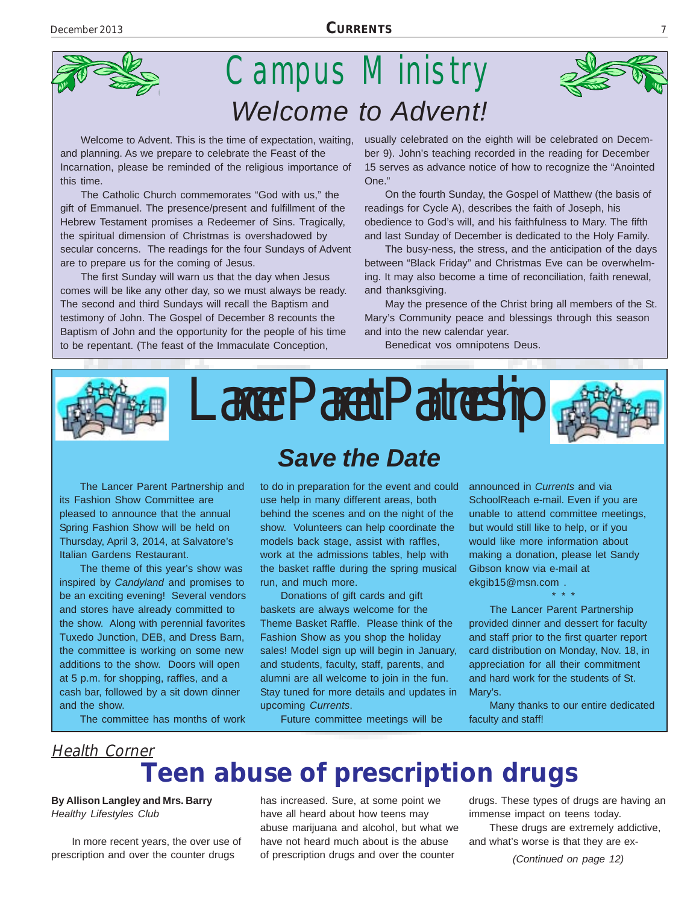

# Campus Ministry *Welcome to Advent!*

Welcome to Advent. This is the time of expectation, waiting, and planning. As we prepare to celebrate the Feast of the Incarnation, please be reminded of the religious importance of this time.

The Catholic Church commemorates "God with us," the gift of Emmanuel. The presence/present and fulfillment of the Hebrew Testament promises a Redeemer of Sins. Tragically, the spiritual dimension of Christmas is overshadowed by secular concerns. The readings for the four Sundays of Advent are to prepare us for the coming of Jesus.

The first Sunday will warn us that the day when Jesus comes will be like any other day, so we must always be ready. The second and third Sundays will recall the Baptism and testimony of John. The Gospel of December 8 recounts the Baptism of John and the opportunity for the people of his time to be repentant. (The feast of the Immaculate Conception,

usually celebrated on the eighth will be celebrated on December 9). John's teaching recorded in the reading for December 15 serves as advance notice of how to recognize the "Anointed One."

On the fourth Sunday, the Gospel of Matthew (the basis of readings for Cycle A), describes the faith of Joseph, his obedience to God's will, and his faithfulness to Mary. The fifth and last Sunday of December is dedicated to the Holy Family.

The busy-ness, the stress, and the anticipation of the days between "Black Friday" and Christmas Eve can be overwhelming. It may also become a time of reconciliation, faith renewal, and thanksgiving.

May the presence of the Christ bring all members of the St. Mary's Community peace and blessings through this season and into the new calendar year.

Benedicat vos omnipotens Deus.



The Lancer Parent Partnership and its Fashion Show Committee are pleased to announce that the annual Spring Fashion Show will be held on Thursday, April 3, 2014, at Salvatore's

The theme of this year's show was inspired by *Candyland* and promises to be an exciting evening! Several vendors and stores have already committed to the show. Along with perennial favorites Tuxedo Junction, DEB, and Dress Barn, the committee is working on some new additions to the show. Doors will open at 5 p.m. for shopping, raffles, and a cash bar, followed by a sit down dinner and the show.

Italian Gardens Restaurant.

The committee has months of work

# *Save the Date*

to do in preparation for the event and could use help in many different areas, both behind the scenes and on the night of the show. Volunteers can help coordinate the models back stage, assist with raffles, work at the admissions tables, help with the basket raffle during the spring musical run, and much more.

Donations of gift cards and gift baskets are always welcome for the Theme Basket Raffle. Please think of the Fashion Show as you shop the holiday sales! Model sign up will begin in January, and students, faculty, staff, parents, and alumni are all welcome to join in the fun. Stay tuned for more details and updates in upcoming *Currents*.

Future committee meetings will be

announced in *Currents* and via SchoolReach e-mail. Even if you are unable to attend committee meetings, but would still like to help, or if you would like more information about making a donation, please let Sandy Gibson know via e-mail at ekgib15@msn.com .

\* \* \* The Lancer Parent Partnership provided dinner and dessert for faculty and staff prior to the first quarter report card distribution on Monday, Nov. 18, in appreciation for all their commitment and hard work for the students of St. Mary's.

Many thanks to our entire dedicated faculty and staff!

#### **Teen abuse of prescription drugs** Health Corner

**By Allison Langley and Mrs. Barry** *Healthy Lifestyles Club*

In more recent years, the over use of prescription and over the counter drugs

has increased. Sure, at some point we have all heard about how teens may abuse marijuana and alcohol, but what we have not heard much about is the abuse of prescription drugs and over the counter

drugs. These types of drugs are having an immense impact on teens today.

These drugs are extremely addictive, and what's worse is that they are ex-

*(Continued on page 12)*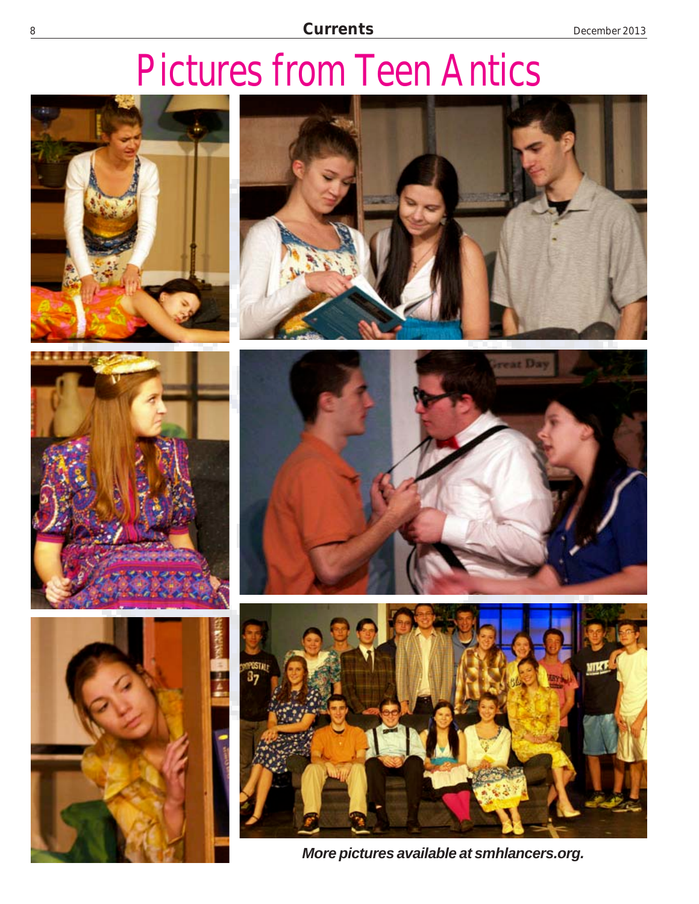# Pictures from Teen Antics













*More pictures available at smhlancers.org.*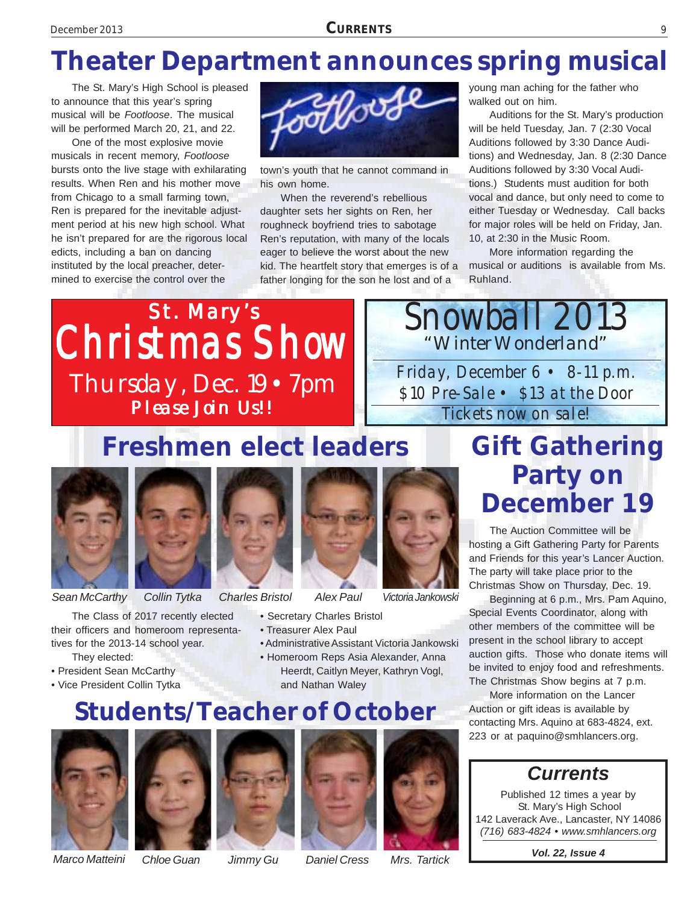# The St. Mary's High School is pleased<br>to announce that this year's spring<br>musical will be Footloose. The musical<br>will be performed March 20, 21, and 22.<br>Chapter of the St. Mary's production

The St. Mary's High School is pleased to announce that this year's spring musical will be *Footloose*. The musical will be performed March 20, 21, and 22.

One of the most explosive movie musicals in recent memory, *Footloose* bursts onto the live stage with exhilarating results. When Ren and his mother move from Chicago to a small farming town, Ren is prepared for the inevitable adjustment period at his new high school. What he isn't prepared for are the rigorous local edicts, including a ban on dancing instituted by the local preacher, determined to exercise the control over the



town's youth that he cannot command in his own home.

When the reverend's rebellious daughter sets her sights on Ren, her roughneck boyfriend tries to sabotage Ren's reputation, with many of the locals eager to believe the worst about the new kid. The heartfelt story that emerges is of a father longing for the son he lost and of a

young man aching for the father who walked out on him.

Auditions for the St. Mary's production will be held Tuesday, Jan. 7 (2:30 Vocal Auditions followed by 3:30 Dance Auditions) and Wednesday, Jan. 8 (2:30 Dance Auditions followed by 3:30 Vocal Auditions.) Students must audition for both vocal and dance, but only need to come to either Tuesday or Wednesday. Call backs for major roles will be held on Friday, Jan. 10, at 2:30 in the Music Room.

More information regarding the musical or auditions is available from Ms. Ruhland.

Snowball 2013

"Winter Wonderland"

Friday, December 6 • 8-11 p.m. \$10 Pre-Sale • \$13 at the Door Tickets now on sale!



**Freshmen elect leaders**



*Sean McCarthy*



*Collin Tytka Charles Bristol Alex Paul Victoria Jankowski*

The Class of 2017 recently elected their officers and homeroom representatives for the 2013-14 school year. They elected:

- President Sean McCarthy
- Vice President Collin Tytka

- Secretary Charles Bristol
- Treasurer Alex Paul
- Administrative Assistant Victoria Jankowski
- Homeroom Reps Asia Alexander, Anna Heerdt, Caitlyn Meyer, Kathryn Vogl,
	- and Nathan Waley

#### **Students/Teacher of October**











# **Gift Gathering Party on December 19**

The Auction Committee will be hosting a Gift Gathering Party for Parents and Friends for this year's Lancer Auction. The party will take place prior to the Christmas Show on Thursday, Dec. 19.

Beginning at 6 p.m., Mrs. Pam Aquino, Special Events Coordinator, along with other members of the committee will be present in the school library to accept auction gifts. Those who donate items will be invited to enjoy food and refreshments. The Christmas Show begins at 7 p.m.

More information on the Lancer Auction or gift ideas is available by contacting Mrs. Aquino at 683-4824, ext. 223 or at paquino@smhlancers.org.

#### *Currents*

Published 12 times a year by St. Mary's High School 142 Laverack Ave., Lancaster, NY 14086 *(716) 683-4824 • www.smhlancers.org*

*Vol. 22, Issue 4*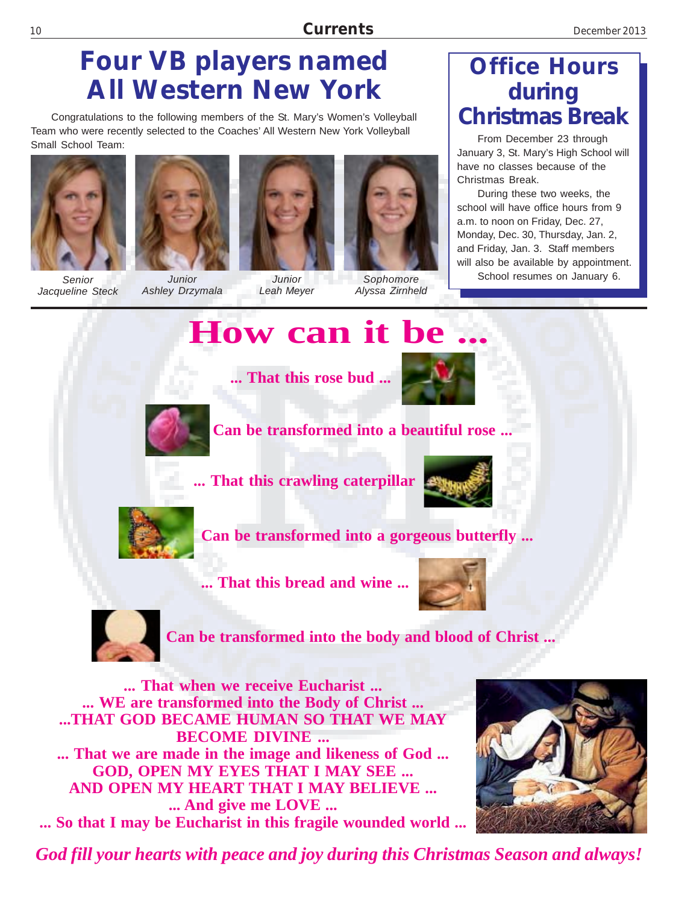## **Four VB players named All Western New York**

Congratulations to the following members of the St. Mary's Women's Volleyball Team who were recently selected to the Coaches' All Western New York Volleyball Small School Team:



*Senior Jacqueline Steck*



*Junior Ashley Drzymala*



*Junior Leah Meyer*



*Sophomore Alyssa Zirnheld*

#### **Office Hours during Christmas Break**

From December 23 through January 3, St. Mary's High School will have no classes because of the Christmas Break.

During these two weeks, the school will have office hours from 9 a.m. to noon on Friday, Dec. 27, Monday, Dec. 30, Thursday, Jan. 2, and Friday, Jan. 3. Staff members will also be available by appointment. School resumes on January 6.

# **How can it be.**

**... That this rose bud ...**



**Can be transformed into a beautiful rose ...**

**... That this crawling caterpillar**





**Can be transformed into a gorgeous butterfly ...**

**... That this bread and wine ...**





**Can be transformed into the body and blood of Christ ...**

**... That when we receive Eucharist ... ... WE are transformed into the Body of Christ ... ...THAT GOD BECAME HUMAN SO THAT WE MAY BECOME DIVINE ... ... That we are made in the image and likeness of God ... GOD, OPEN MY EYES THAT I MAY SEE ... AND OPEN MY HEART THAT I MAY BELIEVE ... ... And give me LOVE ... ... So that I may be Eucharist in this fragile wounded world ...**



*God fill your hearts with peace and joy during this Christmas Season and always!*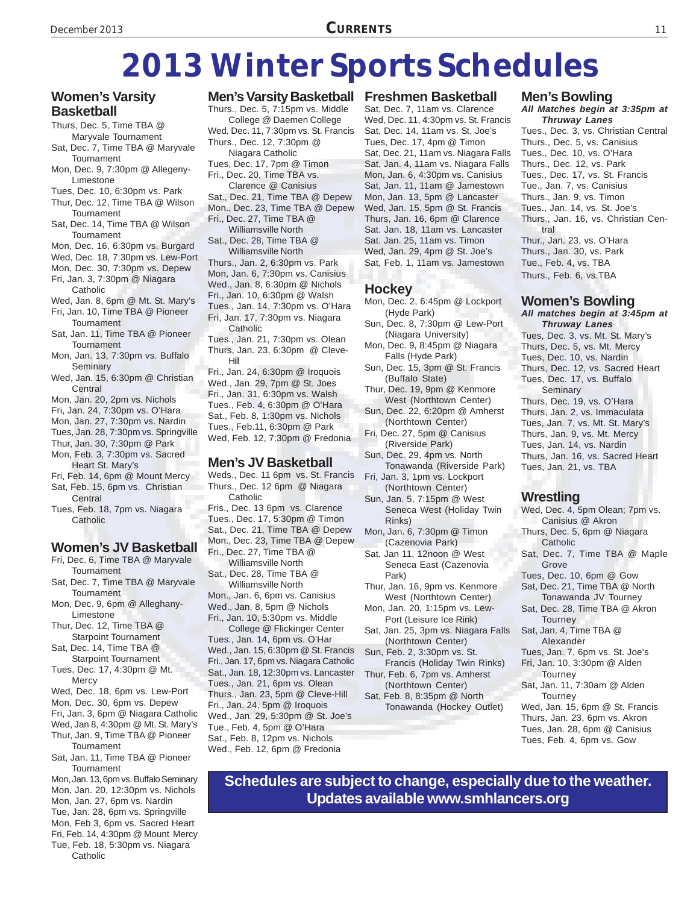# **2013 Winter Sports Schedules**

#### **Women's Varsity Basketball**

- Thurs, Dec. 5, Time TBA @ Maryvale Tournament
- Sat, Dec. 7, Time TBA @ Maryvale **Tournament**
- Mon, Dec. 9, 7:30pm @ Allegeny-Limestone
- Tues, Dec. 10, 6:30pm vs. Park
- Thur, Dec. 12, Time TBA @ Wilson **Tournament**
- Sat, Dec. 14, Time TBA @ Wilson **Tournament**
- Mon, Dec. 16, 6:30pm vs. Burgard
- Wed, Dec. 18, 7:30pm vs. Lew-Port
- Mon, Dec. 30, 7:30pm vs. Depew
- Fri, Jan. 3, 7:30pm @ Niagara
- Catholic Wed, Jan. 8, 6pm @ Mt. St. Mary's
- Fri, Jan. 10, Time TBA @ Pioneer **Tournament**
- Sat, Jan. 11, Time TBA @ Pioneer **Tournament**
- Mon, Jan. 13, 7:30pm vs. Buffalo Seminary
- Wed, Jan. 15, 6:30pm @ Christian Central
- Mon, Jan. 20, 2pm vs. Nichols
- Fri, Jan. 24, 7:30pm vs. O'Hara
- Mon, Jan. 27, 7:30pm vs. Nardin
- Tues, Jan. 28, 7:30pm vs. Springville Thur, Jan. 30, 7:30pm @ Park
- 
- Mon, Feb. 3, 7:30pm vs. Sacred Heart St. Mary's
- Fri, Feb. 14, 6pm @ Mount Mercy Sat, Feb. 15, 6pm vs. Christian
- Central Tues, Feb. 18, 7pm vs. Niagara
- **Catholic**

#### **Women's JV Basketball**

- Fri, Dec. 6, Time TBA @ Maryvale Tournament
- Sat, Dec. 7, Time TBA @ Maryvale **Tournament**
- Mon, Dec. 9, 6pm @ Alleghany-Limestone
- Thur, Dec. 12, Time TBA @ Starpoint Tournament
- Sat, Dec. 14, Time TBA @ Starpoint Tournament
- Tues, Dec. 17, 4:30pm @ Mt. **Mercy**
- Wed, Dec. 18, 6pm vs. Lew-Port
- Mon, Dec. 30, 6pm vs. Depew
- Fri, Jan. 3, 6pm @ Niagara Catholic
- Wed, Jan 8, 4:30pm @ Mt. St. Mary's Thur, Jan. 9, Time TBA @ Pioneer
- **Tournament**
- Sat, Jan. 11, Time TBA @ Pioneer **Tournament**
- Mon, Jan. 13, 6pm vs. Buffalo Seminary Mon, Jan. 20, 12:30pm vs. Nichols Mon, Jan. 27, 6pm vs. Nardin Tue, Jan. 28, 6pm vs. Springville Mon, Feb 3, 6pm vs. Sacred Heart Fri, Feb. 14, 4:30pm @ Mount Mercy Tue, Feb. 18, 5:30pm vs. Niagara

Catholic

#### **Men's Varsity Basketball Freshmen Basketball**

Thurs., Dec. 5, 7:15pm vs. Middle College @ Daemen College Wed, Dec. 11, 7:30pm vs. St. Francis Thurs., Dec. 12, 7:30pm @ Niagara Catholic Tues, Dec. 17, 7pm @ Timon Fri., Dec. 20, Time TBA vs. Clarence @ Canisius Sat., Dec. 21, Time TBA @ Depew

Mon., Dec. 23, Time TBA @ Depew Fri., Dec. 27, Time TBA @ Williamsville North

Sat., Dec. 28, Time TBA @ Williamsville North

Thurs., Jan. 2, 6:30pm vs. Park Mon, Jan. 6, 7:30pm vs. Canisius Wed., Jan. 8, 6:30pm @ Nichols Fri., Jan. 10, 6:30pm @ Walsh Tues., Jan. 14, 7:30pm vs. O'Hara Fri, Jan. 17, 7:30pm vs. Niagara **Catholic** 

- Tues., Jan. 21, 7:30pm vs. Olean Thurs, Jan. 23, 6:30pm @ Cleve-Hill
- Fri., Jan. 24, 6:30pm @ Iroquois Wed., Jan. 29, 7pm @ St. Joes Fri., Jan. 31, 6:30pm vs. Walsh Tues., Feb. 4, 6:30pm @ O'Hara Sat., Feb. 8, 1:30pm vs. Nichols Tues., Feb.11, 6:30pm @ Park Wed, Feb. 12, 7:30pm @ Fredonia

#### **Men's JV Basketball**

- Weds., Dec. 11 6pm vs. St. Francis Thurs., Dec. 12 6pm @ Niagara Catholic
- Fris., Dec. 13 6pm vs. Clarence Tues., Dec. 17, 5:30pm @ Timon
- Sat., Dec. 21, Time TBA @ Depew
- Mon., Dec. 23, Time TBA @ Depew

Fri., Dec. 27, Time TBA @ Williamsville North

- Sat., Dec. 28, Time TBA @ Williamsville North Mon., Jan. 6, 6pm vs. Canisius Wed., Jan. 8, 5pm @ Nichols
- Fri., Jan. 10, 5:30pm vs. Middle College @ Flickinger Center
- Tues., Jan. 14, 6pm vs. O'Har Wed., Jan. 15, 6:30pm @ St. Francis Fri., Jan. 17, 6pm vs. Niagara Catholic Sat., Jan. 18, 12:30pm vs. Lancaster Tues., Jan. 21, 6pm vs. Olean Thurs., Jan. 23, 5pm @ Cleve-Hill Fri., Jan. 24, 5pm @ Iroquois Wed., Jan. 29, 5:30pm @ St. Joe's Tue., Feb. 4, 5pm @ O'Hara Sat., Feb. 8, 12pm vs. Nichols Wed., Feb. 12, 6pm @ Fredonia

Sat, Dec. 7, 11am vs. Clarence Wed, Dec. 11, 4:30pm vs. St. Francis Sat, Dec. 14, 11am vs. St. Joe's Tues, Dec. 17, 4pm @ Timon Sat, Dec. 21, 11am vs. Niagara Falls Sat, Jan. 4, 11am vs. Niagara Falls Mon, Jan. 6, 4:30pm vs. Canisius Sat, Jan. 11, 11am @ Jamestown Mon, Jan. 13, 5pm @ Lancaster Wed, Jan. 15, 5pm @ St. Francis Thurs, Jan. 16, 6pm @ Clarence Sat. Jan. 18, 11am vs. Lancaster Sat. Jan. 25, 11am vs. Timon Wed, Jan. 29, 4pm @ St. Joe's Sat, Feb. 1, 11am vs. Jamestown

#### **Hockey**

- Mon, Dec. 2, 6:45pm @ Lockport (Hyde Park)
- Sun, Dec. 8, 7:30pm @ Lew-Port (Niagara University)
- Mon, Dec. 9, 8:45pm @ Niagara Falls (Hyde Park)
- Sun, Dec. 15, 3pm @ St. Francis (Buffalo State)
- Thur, Dec. 19, 9pm @ Kenmore West (Northtown Center)
- Sun, Dec. 22, 6:20pm @ Amherst (Northtown Center)
- Fri, Dec. 27, 5pm @ Canisius (Riverside Park)
- Sun, Dec. 29, 4pm vs. North Tonawanda (Riverside Park)
- Fri, Jan. 3, 1pm vs. Lockport (Northtown Center)
- Sun, Jan. 5, 7:15pm @ West Seneca West (Holiday Twin Rinks)
- Mon, Jan. 6, 7:30pm @ Timon (Cazenovia Park)
- Sat, Jan 11, 12noon @ West Seneca East (Cazenovia Park)
- Thur, Jan. 16, 9pm vs. Kenmore West (Northtown Center)
- Mon, Jan. 20, 1:15pm vs. Lew-Port (Leisure Ice Rink)
- Sat, Jan. 25, 3pm vs. Niagara Falls (Northtown Center)
- Sun, Feb. 2, 3:30pm vs. St. Francis (Holiday Twin Rinks)
- Thur, Feb. 6, 7pm vs. Amherst (Northtown Center)
- Sat, Feb. 8, 8:35pm @ North Tonawanda (Hockey Outlet)

#### **Men's Bowling**

- *All Matches begin at 3:35pm at Thruway Lanes* Tues., Dec. 3, vs. Christian Central
- Thurs., Dec. 5, vs. Canisius Tues., Dec. 10, vs. O'Hara Thurs., Dec. 12, vs. Park Tues., Dec. 17, vs. St. Francis Tue., Jan. 7, vs. Canisius Thurs., Jan. 9, vs. Timon Tues., Jan. 14, vs. St. Joe's Thurs., Jan. 16, vs. Christian Central Thur., Jan. 23, vs. O'Hara Thurs., Jan. 30, vs. Park Tue., Feb. 4, vs. TBA
- Thurs., Feb. 6, vs.TBA

#### **Women's Bowling**

*All matches begin at 3:45pm at Thruway Lanes* Tues, Dec. 3, vs. Mt. St. Mary's Thurs, Dec. 5, vs. Mt. Mercy Tues, Dec. 10, vs. Nardin Thurs, Dec. 12, vs. Sacred Heart Tues, Dec. 17, vs. Buffalo Seminary Thurs, Dec. 19, vs. O'Hara Thurs, Jan. 2, vs. Immaculata Tues, Jan. 7, vs. Mt. St. Mary's Thurs, Jan. 9, vs. Mt. Mercy Tues, Jan. 14, vs. Nardin Thurs, Jan. 16, vs. Sacred Heart Tues, Jan. 21, vs. TBA

#### **Wrestling**

- Wed, Dec. 4, 5pm Olean; 7pm vs. Canisius @ Akron
- Thurs, Dec. 5, 6pm @ Niagara Catholic
- Sat, Dec. 7, Time TBA @ Maple Grove
- Tues, Dec. 10, 6pm @ Gow
- Sat, Dec. 21, Time TBA @ North Tonawanda JV Tourney
- Sat, Dec. 28, Time TBA @ Akron Tourney
- Sat, Jan. 4, Time TBA @ Alexander
- Tues, Jan. 7, 6pm vs. St. Joe's Fri, Jan. 10, 3:30pm @ Alden
- **Tourney** Sat, Jan. 11, 7:30am @ Alden
- **Tourney** Wed, Jan. 15, 6pm @ St. Francis Thurs, Jan. 23, 6pm vs. Akron
- Tues, Jan. 28, 6pm @ Canisius Tues, Feb. 4, 6pm vs. Gow

**Schedules are subject to change, especially due to the weather. Updates available www.smhlancers.org**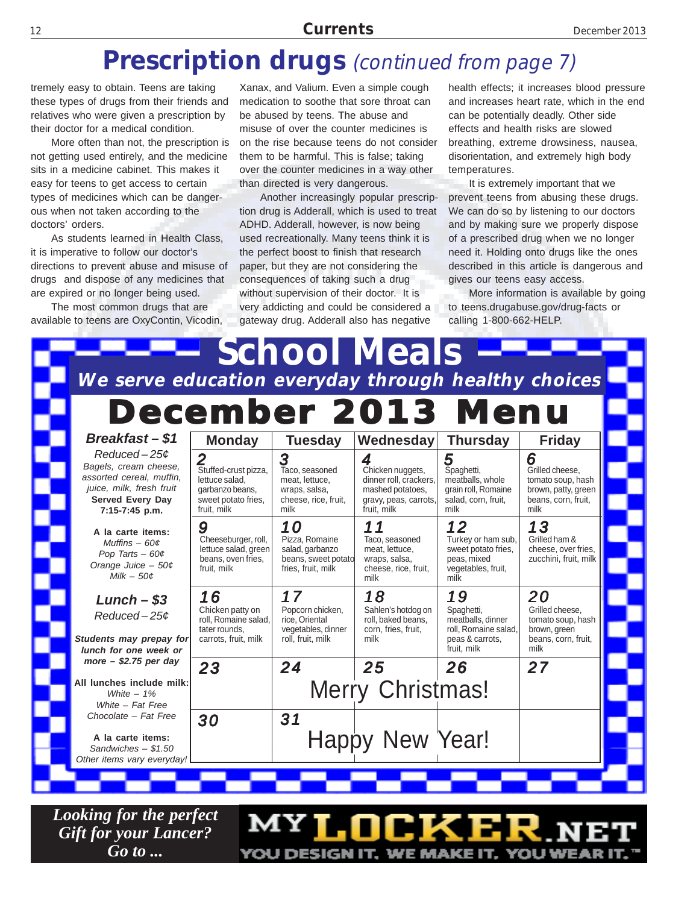#### **Prescription drugs** (continued from page 7)

tremely easy to obtain. Teens are taking these types of drugs from their friends and relatives who were given a prescription by their doctor for a medical condition.

More often than not, the prescription is not getting used entirely, and the medicine sits in a medicine cabinet. This makes it easy for teens to get access to certain types of medicines which can be dangerous when not taken according to the doctors' orders.

As students learned in Health Class, it is imperative to follow our doctor's directions to prevent abuse and misuse of drugs and dispose of any medicines that are expired or no longer being used.

The most common drugs that are available to teens are OxyContin, Vicodin,

Xanax, and Valium. Even a simple cough medication to soothe that sore throat can be abused by teens. The abuse and misuse of over the counter medicines is on the rise because teens do not consider them to be harmful. This is false; taking over the counter medicines in a way other than directed is very dangerous.

Another increasingly popular prescription drug is Adderall, which is used to treat ADHD. Adderall, however, is now being used recreationally. Many teens think it is the perfect boost to finish that research paper, but they are not considering the consequences of taking such a drug without supervision of their doctor. It is very addicting and could be considered a gateway drug. Adderall also has negative

health effects; it increases blood pressure and increases heart rate, which in the end can be potentially deadly. Other side effects and health risks are slowed breathing, extreme drowsiness, nausea, disorientation, and extremely high body temperatures.

It is extremely important that we prevent teens from abusing these drugs. We can do so by listening to our doctors and by making sure we properly dispose of a prescribed drug when we no longer need it. Holding onto drugs like the ones described in this article is dangerous and gives our teens easy access.

More information is available by going to teens.drugabuse.gov/drug-facts or calling 1-800-662-HELP.

| <b>School Meals</b><br>We serve education everyday through healthy choices                                                                    |                                                                                                 |                                                                                        |                                                                                                             |                                                                                                 |                                                                                                 |  |  |  |  |
|-----------------------------------------------------------------------------------------------------------------------------------------------|-------------------------------------------------------------------------------------------------|----------------------------------------------------------------------------------------|-------------------------------------------------------------------------------------------------------------|-------------------------------------------------------------------------------------------------|-------------------------------------------------------------------------------------------------|--|--|--|--|
| <b>December 2013 Menu</b>                                                                                                                     |                                                                                                 |                                                                                        |                                                                                                             |                                                                                                 |                                                                                                 |  |  |  |  |
| Breakfast-\$1                                                                                                                                 | <b>Monday</b>                                                                                   | <b>Tuesday</b>                                                                         | Wednesday                                                                                                   | <b>Thursday</b>                                                                                 | <b>Friday</b>                                                                                   |  |  |  |  |
| $Reduced - 25¢$<br>Bagels, cream cheese,<br>assorted cereal, muffin,<br>juice, milk, fresh fruit<br><b>Served Every Day</b><br>7:15-7:45 p.m. | Stuffed-crust pizza,<br>lettuce salad.<br>garbanzo beans.<br>sweet potato fries.<br>fruit, milk | 3<br>Taco, seasoned<br>meat, lettuce,<br>wraps, salsa,<br>cheese, rice, fruit,<br>milk | 4<br>Chicken nuggets,<br>dinner roll, crackers,<br>mashed potatoes,<br>gravy, peas, carrots,<br>fruit. milk | 5<br>Spaghetti,<br>meatballs, whole<br>grain roll. Romaine<br>salad, corn, fruit,<br>milk       | 6<br>Grilled cheese.<br>tomato soup, hash<br>brown, patty, green<br>beans, corn, fruit,<br>milk |  |  |  |  |
| A la carte items:<br>Muffins $-60\phi$<br>Pop Tarts $-60¢$<br>Orange Juice $-50¢$<br>Milk $-50\phi$                                           | 9<br>Cheeseburger, roll,<br>lettuce salad, green<br>beans, oven fries,<br>fruit, milk           | 10<br>Pizza, Romaine<br>salad, garbanzo<br>beans, sweet potato<br>fries, fruit, milk   | 11<br>Taco, seasoned<br>meat, lettuce,<br>wraps, salsa,<br>cheese, rice, fruit,<br>milk                     | 12<br>Turkey or ham sub.<br>sweet potato fries.<br>peas, mixed<br>vegetables, fruit,<br>milk    | 13<br>Grilled ham &<br>cheese, over fries.<br>zucchini, fruit, milk                             |  |  |  |  |
| $Lunch - $3$<br>$Reduced - 25¢$<br>Students may prepay for<br>lunch for one week or                                                           | 16<br>Chicken patty on<br>roll. Romaine salad.<br>tater rounds.<br>carrots, fruit, milk         | 17<br>Popcorn chicken.<br>rice. Oriental<br>vegetables, dinner<br>roll. fruit. milk    | 18<br>Sahlen's hotdog on<br>roll, baked beans,<br>corn, fries, fruit,<br>milk                               | 19<br>Spaghetti,<br>meatballs, dinner<br>roll. Romaine salad.<br>peas & carrots.<br>fruit, milk | 20<br>Grilled cheese.<br>tomato soup, hash<br>brown, green<br>beans, corn, fruit.<br>milk       |  |  |  |  |
| more $-$ \$2.75 per day                                                                                                                       | 23                                                                                              | 24                                                                                     | 25                                                                                                          | 26                                                                                              | 27                                                                                              |  |  |  |  |
| All lunches include milk:<br>White $-1\%$<br>White - Fat Free                                                                                 |                                                                                                 |                                                                                        | <b>Merry Christmas!</b>                                                                                     |                                                                                                 |                                                                                                 |  |  |  |  |
| Chocolate - Fat Free<br>A la carte items:<br>Sandwiches $- $1.50$<br>Other items vary everyday!                                               | 30                                                                                              | 31                                                                                     | Happy New Year!                                                                                             |                                                                                                 |                                                                                                 |  |  |  |  |

MY**I.NCK** 

YOU DESIGN IT, WE MAKE IT, YOU WEA

*Looking for the perfect Gift for your Lancer? Go to ...*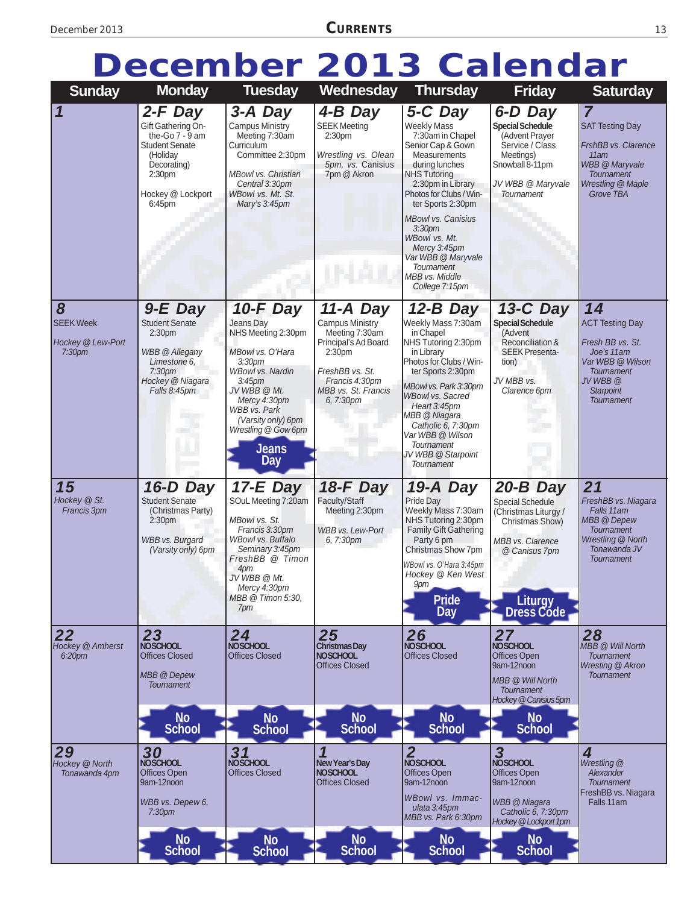# **December 2013 Calendar**

| <b>Sunday</b>                                                    | <b>Monday</b>                                                                                                                                             | <b>Tuesday</b>                                                                                                                                                                                                                                        | Wednesday                                                                                                                                                       | <b>Thursday</b>                                                                                                                                                                                                                                                                                                                                                  | <b>Friday</b>                                                                                                                                                                | <b>Saturday</b>                                                                                                                                              |
|------------------------------------------------------------------|-----------------------------------------------------------------------------------------------------------------------------------------------------------|-------------------------------------------------------------------------------------------------------------------------------------------------------------------------------------------------------------------------------------------------------|-----------------------------------------------------------------------------------------------------------------------------------------------------------------|------------------------------------------------------------------------------------------------------------------------------------------------------------------------------------------------------------------------------------------------------------------------------------------------------------------------------------------------------------------|------------------------------------------------------------------------------------------------------------------------------------------------------------------------------|--------------------------------------------------------------------------------------------------------------------------------------------------------------|
| $\mathbf 1$                                                      | 2-F Day<br>Gift Gathering On-<br>the-Go $7 - 9$ am<br><b>Student Senate</b><br>(Holiday<br>Decorating)<br>2:30pm<br>Hockey @ Lockport<br>6:45pm           | 3-A Day<br>Campus Ministry<br>Meeting 7:30am<br>Curriculum<br>Committee 2:30pm<br><b>MBowl vs. Christian</b><br>Central 3:30pm<br>WBowl vs. Mt. St.<br>Mary's 3:45pm                                                                                  | 4-B Day<br><b>SEEK Meeting</b><br>2:30pm<br>Wrestling vs. Olean<br>5pm, vs. Canisius<br>7pm @ Akron                                                             | 5-C Day<br><b>Weekly Mass</b><br>7:30am in Chapel<br>Senior Cap & Gown<br>Measurements<br>during lunches<br><b>NHS Tutoring</b><br>2:30pm in Library<br>Photos for Clubs / Win-<br>ter Sports 2:30pm<br><b>MBowl vs. Canisius</b><br>3:30 <sub>pm</sub><br>WBowl vs. Mt.<br>Mercy 3:45pm<br>Var WBB @ Maryvale<br>Tournament<br>MBB vs. Middle<br>College 7:15pm | 6-D Day<br><b>Special Schedule</b><br>(Advent Prayer<br>Service / Class<br>Meetings)<br>Snowball 8-11pm<br>JV WBB @ Maryvale<br>Tournament                                   | $\overline{7}$<br><b>SAT Testing Day</b><br>FrshBB vs. Clarence<br>11am<br><b>WBB</b> @ Maryvale<br><b>Tournament</b><br>Wrestling @ Maple<br>Grove TBA      |
| 8<br><b>SEEK Week</b><br>Hockey @ Lew-Port<br>7:30 <sub>pm</sub> | 9-E Day<br><b>Student Senate</b><br>2:30 <sub>pm</sub><br><b>WBB</b> @ Allegany<br>Limestone 6.<br>7:30 <sub>pm</sub><br>Hockey @ Niagara<br>Falls 8:45pm | 10-F Day<br>Jeans Day<br>NHS Meeting 2:30pm<br>MBowl vs. O'Hara<br>3:30 <sub>pm</sub><br><b>WBowl vs. Nardin</b><br>3:45pm<br>JV WBB @ Mt.<br>Mercy 4:30pm<br><b>WBB</b> vs. Park<br>(Varsity only) 6pm<br>Wrestling @ Gow 6pm<br><b>Jeans</b><br>Day | 11-A Day<br><b>Campus Ministry</b><br>Meeting 7:30am<br>Principal's Ad Board<br>2:30pm<br>FreshBB vs. St.<br>Francis 4:30pm<br>MBB vs. St. Francis<br>6, 7:30pm | 12-B Day<br>Weekly Mass 7:30am<br>in Chapel<br>NHS Tutoring 2:30pm<br>in Library<br>Photos for Clubs / Win-<br>ter Sports 2:30pm<br>MBowl vs. Park 3:30pm<br><b>WBowl vs. Sacred</b><br>Heart 3:45pm<br>MBB @ Niagara<br>Catholic 6, 7:30pm<br>Var WBB @ Wilson<br>Tournament<br>JV WBB @ Starpoint<br><b>Tournament</b>                                         | 13-C Day<br><b>Special Schedule</b><br>(Advent<br>Reconciliation &<br><b>SEEK Presenta-</b><br>tion)<br>JV MBB vs.<br>Clarence 6pm                                           | 14<br><b>ACT Testing Day</b><br>Fresh BB vs. St.<br>Joe's 11am<br>Var WBB @ Wilson<br><b>Tournament</b><br>JV WBB @<br><b>Starpoint</b><br><b>Tournament</b> |
| 15<br>Hockey @ St.<br>Francis 3pm                                | 16-D Day<br><b>Student Senate</b><br>(Christmas Party)<br>2:30 <sub>pm</sub><br><b>WBB</b> vs. Burgard<br>(Varsity only) 6pm                              | $17-E$ Day<br>SOuL Meeting 7:20am<br>MBowl vs. St.<br>Francis 3:30pm<br>WBowl vs. Buffalo<br>Seminary 3:45pm<br>FreshBB @ Timon<br>4pm<br>JV WBB @ Mt.<br>Mercy 4:30pm<br>MBB @ Timon 5:30,<br>7pm                                                    | 18-F Day<br>Faculty/Staff<br>Meeting 2:30pm<br><b>WBB</b> vs. Lew-Port<br>6, 7:30pm                                                                             | 19-A Day<br>Pride Day<br>Weekly Mass 7:30am<br>NHS Tutoring 2:30pm<br>Family Gift Gathering<br>Party 6 pm<br>Christmas Show 7pm<br>WBowl vs. O'Hara 3:45pm<br>Hockey @ Ken West<br><b>9pm</b><br><b>Pride</b><br><b>Day</b>                                                                                                                                      | 20-B Day<br><b>Special Schedule</b><br>(Christmas Liturgy /<br>Christmas Show)<br>MBB vs. Clarence<br>@ Canisus 7pm<br><b>Liturgy</b><br>Dress Códe                          | 21<br>FreshBB vs. Niagara<br>Falls 11am<br>MBB @ Depew<br><b>Tournament</b><br>Wrestling @ North<br>Tonawanda JV<br><b>Tournament</b>                        |
| 22<br>Hockey @ Amherst<br>6:20pm                                 | 23<br><b>NOSCHOOL</b><br><b>Offices Closed</b><br>MBB @ Depew<br><b>Tournament</b><br><b>No</b><br><b>School</b>                                          | 24<br><b>NOSCHOOL</b><br><b>Offices Closed</b><br><b>No</b><br><b>School</b>                                                                                                                                                                          | 25<br><b>Christmas Day</b><br><b>NOSCHOOL</b><br><b>Offices Closed</b><br><b>No</b><br><b>School</b>                                                            | 26<br><b>NOSCHOOL</b><br><b>Offices Closed</b><br><b>No</b><br><b>School</b>                                                                                                                                                                                                                                                                                     | 27<br><b>NOSCHOOL</b><br>Offices Open<br>9am-12noon<br>MBB @ Will North<br><b>Tournament</b><br>Hockey @ Canisius 5pm<br><b>No</b><br><b>School</b>                          | 28<br><b>MBB</b> @ Will North<br>Tournament<br><b>Wresting @ Akron</b><br><b>Tournament</b>                                                                  |
| 29<br>Hockey @ North<br>Tonawanda 4pm                            | 30<br>NOSCHOOL<br>Offices Open<br>9am-12noon<br>WBB vs. Depew 6,<br>7:30 <sub>pm</sub><br><b>No</b><br><b>School</b>                                      | $31$<br>NOSCHOOL<br><b>Offices Closed</b><br><b>No</b><br><b>School</b>                                                                                                                                                                               | New Year's Day<br><b>NOSCHOOL</b><br><b>Offices Closed</b><br><b>No</b><br><b>School</b>                                                                        | $\overline{2}$<br><b>NOSCHOOL</b><br><b>Offices Open</b><br>9am-12noon<br>WBowl vs. Immac-<br>ulata 3:45pm<br>MBB vs. Park 6:30pm<br><b>No</b><br><b>School</b>                                                                                                                                                                                                  | $\overline{\mathbf{3}}$<br><b>NOSCHOOL</b><br>Offices Open<br>9am-12noon<br><b>WBB</b> @ Niagara<br>Catholic 6, 7:30pm<br>Hockey @Lockport 1pm<br><b>No</b><br><b>School</b> | 4<br>Wrestling @<br>Alexander<br><b>Tournament</b><br>FreshBB vs. Niagara<br>Falls 11 am                                                                     |